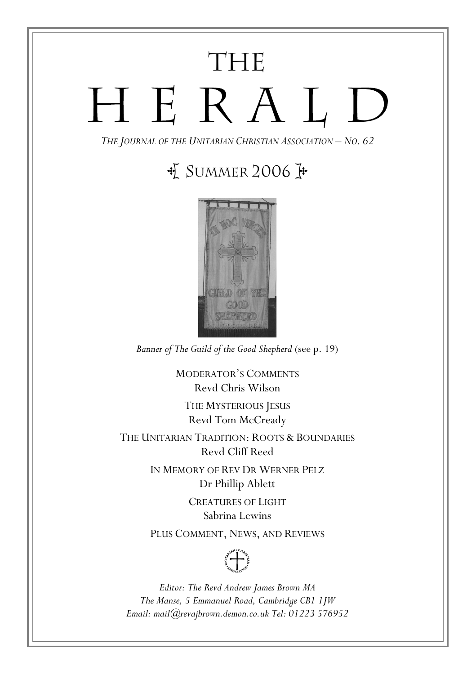# THE HERALD

THE JOURNAL OF THE UNITARIAN CHRISTIAN ASSOCIATION – NO. 62

## $\frac{1}{2}$  SUMMER 2006  $\frac{1}{2}$



Banner of The Guild of the Good Shepherd (see p. 19)

MODERATOR'S COMMENTS Revd Chris Wilson THE MYSTERIOUS JESUS Revd Tom McCready THE UNITARIAN TRADITION: ROOTS & BOUNDARIES

Revd Cliff Reed

IN MEMORY OF REV DR WERNER PELZ Dr Phillip Ablett

> CREATURES OF LIGHT Sabrina Lewins

PLUS COMMENT, NEWS, AND REVIEWS



Editor: The Revd Andrew James Brown MA The Manse, 5 Emmanuel Road, Cambridge CB1 1JW Email: mail@revajbrown.demon.co.uk Tel: 01223 576952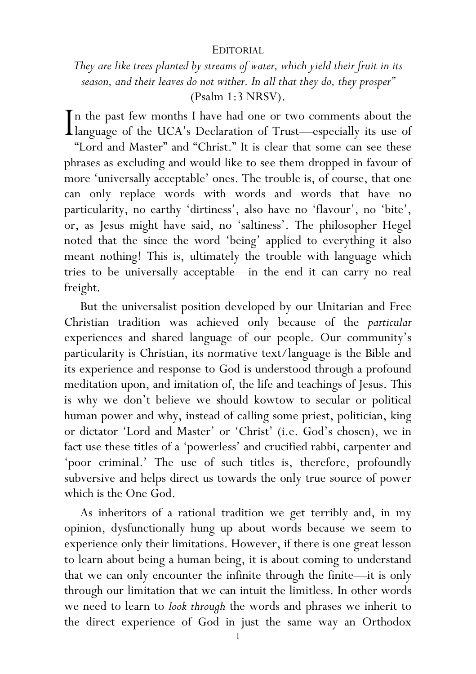#### EDITORIAL

They are like trees planted by streams of water, which yield their fruit in its season, and their leaves do not wither. In all that they do, they prosper" (Psalm 1:3 NRSV).

n the past few months I have had one or two comments about the In the past few months I have had one or two comments about the language of the UCA's Declaration of Trust—especially its use of "Lord and Master" and "Christ." It is clear that some can see these phrases as excluding and would like to see them dropped in favour of more 'universally acceptable' ones. The trouble is, of course, that one can only replace words with words and words that have no particularity, no earthy 'dirtiness', also have no 'flavour', no 'bite', or, as Jesus might have said, no 'saltiness'. The philosopher Hegel noted that the since the word 'being' applied to everything it also meant nothing! This is, ultimately the trouble with language which tries to be universally acceptable—in the end it can carry no real freight.

But the universalist position developed by our Unitarian and Free Christian tradition was achieved only because of the particular experiences and shared language of our people. Our community's particularity is Christian, its normative text/language is the Bible and its experience and response to God is understood through a profound meditation upon, and imitation of, the life and teachings of Jesus. This is why we don't believe we should kowtow to secular or political human power and why, instead of calling some priest, politician, king or dictator 'Lord and Master' or 'Christ' (i.e. God's chosen), we in fact use these titles of a 'powerless' and crucified rabbi, carpenter and 'poor criminal.' The use of such titles is, therefore, profoundly subversive and helps direct us towards the only true source of power which is the One God.

 As inheritors of a rational tradition we get terribly and, in my opinion, dysfunctionally hung up about words because we seem to experience only their limitations. However, if there is one great lesson to learn about being a human being, it is about coming to understand that we can only encounter the infinite through the finite—it is only through our limitation that we can intuit the limitless. In other words we need to learn to look through the words and phrases we inherit to the direct experience of God in just the same way an Orthodox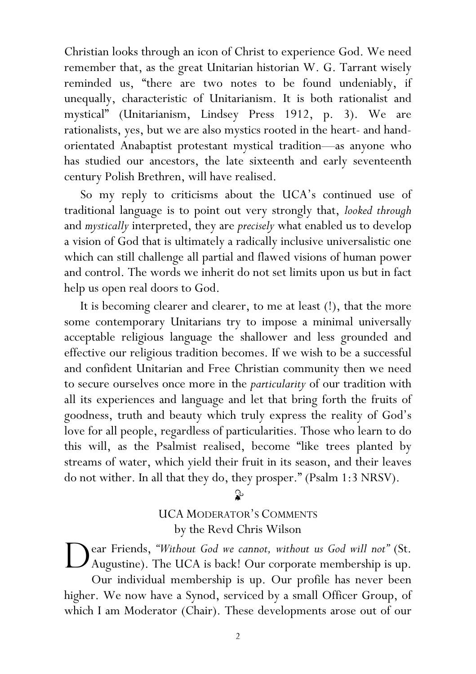Christian looks through an icon of Christ to experience God. We need remember that, as the great Unitarian historian W. G. Tarrant wisely reminded us, "there are two notes to be found undeniably, if unequally, characteristic of Unitarianism. It is both rationalist and mystical" (Unitarianism, Lindsey Press 1912, p. 3). We are rationalists, yes, but we are also mystics rooted in the heart- and handorientated Anabaptist protestant mystical tradition—as anyone who has studied our ancestors, the late sixteenth and early seventeenth century Polish Brethren, will have realised.

So my reply to criticisms about the UCA's continued use of traditional language is to point out very strongly that, looked through and mystically interpreted, they are precisely what enabled us to develop a vision of God that is ultimately a radically inclusive universalistic one which can still challenge all partial and flawed visions of human power and control. The words we inherit do not set limits upon us but in fact help us open real doors to God.

 It is becoming clearer and clearer, to me at least (!), that the more some contemporary Unitarians try to impose a minimal universally acceptable religious language the shallower and less grounded and effective our religious tradition becomes. If we wish to be a successful and confident Unitarian and Free Christian community then we need to secure ourselves once more in the particularity of our tradition with all its experiences and language and let that bring forth the fruits of goodness, truth and beauty which truly express the reality of God's love for all people, regardless of particularities. Those who learn to do this will, as the Psalmist realised, become "like trees planted by streams of water, which yield their fruit in its season, and their leaves do not wither. In all that they do, they prosper." (Psalm 1:3 NRSV).

 $\mathbf{r}$ 

UCA MODERATOR'S COMMENTS by the Revd Chris Wilson

ear Friends, "Without God we cannot, without us God will not" (St. Augustine). The UCA is back! Our corporate membership is up. Our individual membership is up. Our profile has never been higher. We now have a Synod, serviced by a small Officer Group, of which I am Moderator (Chair). These developments arose out of our D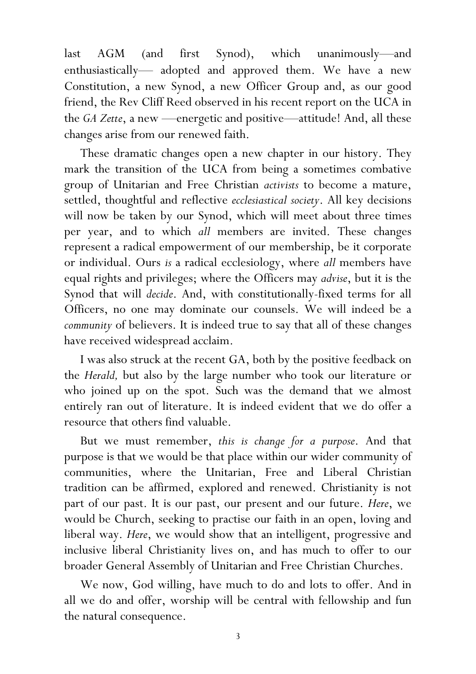last AGM (and first Synod), which unanimously—and enthusiastically— adopted and approved them. We have a new Constitution, a new Synod, a new Officer Group and, as our good friend, the Rev Cliff Reed observed in his recent report on the UCA in the GA Zette, a new —energetic and positive—attitude! And, all these changes arise from our renewed faith.

These dramatic changes open a new chapter in our history. They mark the transition of the UCA from being a sometimes combative group of Unitarian and Free Christian activists to become a mature, settled, thoughtful and reflective ecclesiastical society. All key decisions will now be taken by our Synod, which will meet about three times per year, and to which all members are invited. These changes represent a radical empowerment of our membership, be it corporate or individual. Ours is a radical ecclesiology, where all members have equal rights and privileges; where the Officers may advise, but it is the Synod that will decide. And, with constitutionally-fixed terms for all Officers, no one may dominate our counsels. We will indeed be a community of believers. It is indeed true to say that all of these changes have received widespread acclaim.

I was also struck at the recent GA, both by the positive feedback on the Herald, but also by the large number who took our literature or who joined up on the spot. Such was the demand that we almost entirely ran out of literature. It is indeed evident that we do offer a resource that others find valuable.

But we must remember, this is change for a purpose. And that purpose is that we would be that place within our wider community of communities, where the Unitarian, Free and Liberal Christian tradition can be affirmed, explored and renewed. Christianity is not part of our past. It is our past, our present and our future. Here, we would be Church, seeking to practise our faith in an open, loving and liberal way. Here, we would show that an intelligent, progressive and inclusive liberal Christianity lives on, and has much to offer to our broader General Assembly of Unitarian and Free Christian Churches.

We now, God willing, have much to do and lots to offer. And in all we do and offer, worship will be central with fellowship and fun the natural consequence.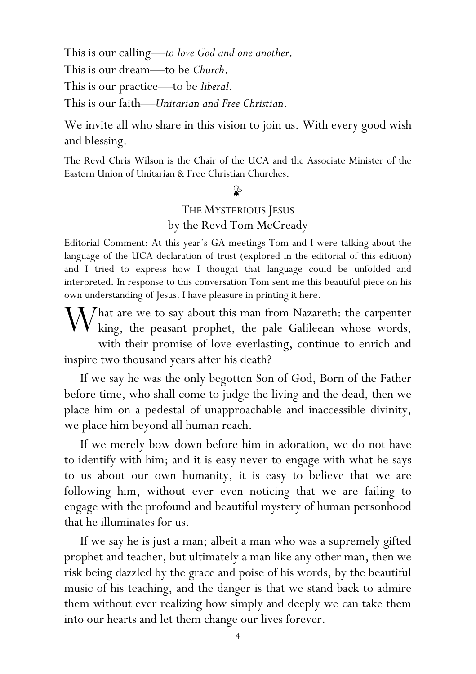This is our calling—to love God and one another. This is our dream—to be Church. This is our practice—to be *liberal*. This is our faith—Unitarian and Free Christian.

We invite all who share in this vision to join us. With every good wish and blessing.

The Revd Chris Wilson is the Chair of the UCA and the Associate Minister of the Eastern Union of Unitarian & Free Christian Churches.

## $\mathbf{r}$

## THE MYSTERIOUS JESUS by the Revd Tom McCready

Editorial Comment: At this year's GA meetings Tom and I were talking about the language of the UCA declaration of trust (explored in the editorial of this edition) and I tried to express how I thought that language could be unfolded and interpreted. In response to this conversation Tom sent me this beautiful piece on his own understanding of Jesus. I have pleasure in printing it here.

 $\bigvee$  hat are we to say about this man from Nazareth: the carpenter king. the peasant prophet, the pale Galileean whose words.  $k$  king, the peasant prophet, the pale Galileean whose words, with their promise of love everlasting, continue to enrich and inspire two thousand years after his death?

If we say he was the only begotten Son of God, Born of the Father before time, who shall come to judge the living and the dead, then we place him on a pedestal of unapproachable and inaccessible divinity, we place him beyond all human reach.

If we merely bow down before him in adoration, we do not have to identify with him; and it is easy never to engage with what he says to us about our own humanity, it is easy to believe that we are following him, without ever even noticing that we are failing to engage with the profound and beautiful mystery of human personhood that he illuminates for us.

If we say he is just a man; albeit a man who was a supremely gifted prophet and teacher, but ultimately a man like any other man, then we risk being dazzled by the grace and poise of his words, by the beautiful music of his teaching, and the danger is that we stand back to admire them without ever realizing how simply and deeply we can take them into our hearts and let them change our lives forever.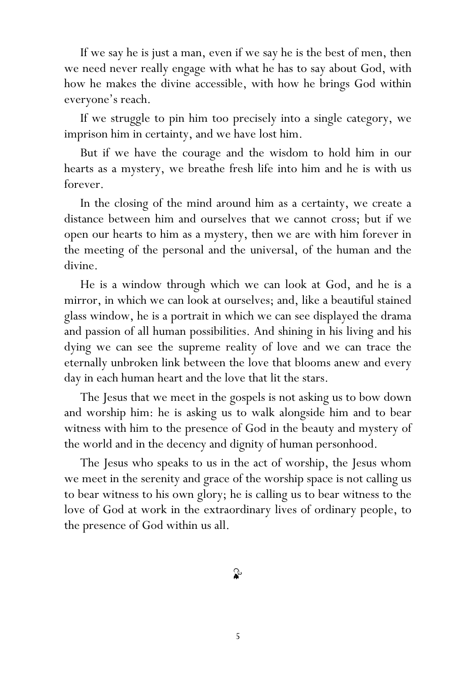If we say he is just a man, even if we say he is the best of men, then we need never really engage with what he has to say about God, with how he makes the divine accessible, with how he brings God within everyone's reach.

If we struggle to pin him too precisely into a single category, we imprison him in certainty, and we have lost him.

But if we have the courage and the wisdom to hold him in our hearts as a mystery, we breathe fresh life into him and he is with us forever.

In the closing of the mind around him as a certainty, we create a distance between him and ourselves that we cannot cross; but if we open our hearts to him as a mystery, then we are with him forever in the meeting of the personal and the universal, of the human and the divine.

He is a window through which we can look at God, and he is a mirror, in which we can look at ourselves; and, like a beautiful stained glass window, he is a portrait in which we can see displayed the drama and passion of all human possibilities. And shining in his living and his dying we can see the supreme reality of love and we can trace the eternally unbroken link between the love that blooms anew and every day in each human heart and the love that lit the stars.

 The Jesus that we meet in the gospels is not asking us to bow down and worship him: he is asking us to walk alongside him and to bear witness with him to the presence of God in the beauty and mystery of the world and in the decency and dignity of human personhood.

The Jesus who speaks to us in the act of worship, the Jesus whom we meet in the serenity and grace of the worship space is not calling us to bear witness to his own glory; he is calling us to bear witness to the love of God at work in the extraordinary lives of ordinary people, to the presence of God within us all.

ॢ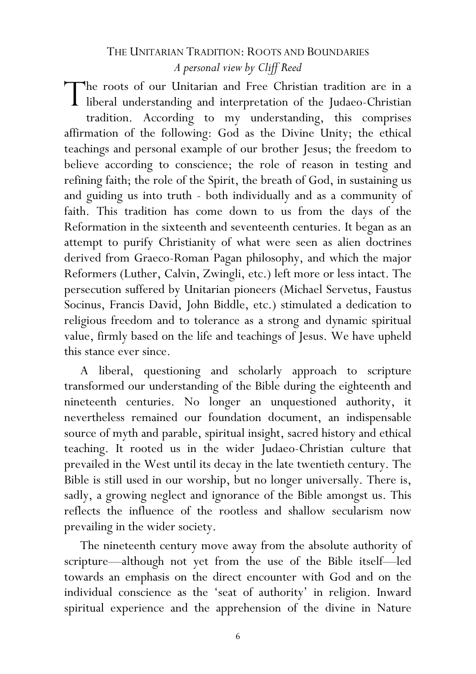## THE UNITARIAN TRADITION: ROOTS AND BOUNDARIES A personal view by Cliff Reed

The roots of our Unitarian and Free Christian tradition are in a liberal understanding and interpretation of the Judaeo-Christian liberal understanding and interpretation of the Judaeo-Christian tradition. According to my understanding, this comprises affirmation of the following: God as the Divine Unity; the ethical teachings and personal example of our brother Jesus; the freedom to believe according to conscience; the role of reason in testing and refining faith; the role of the Spirit, the breath of God, in sustaining us and guiding us into truth - both individually and as a community of faith. This tradition has come down to us from the days of the Reformation in the sixteenth and seventeenth centuries. It began as an attempt to purify Christianity of what were seen as alien doctrines derived from Graeco-Roman Pagan philosophy, and which the major Reformers (Luther, Calvin, Zwingli, etc.) left more or less intact. The persecution suffered by Unitarian pioneers (Michael Servetus, Faustus Socinus, Francis David, John Biddle, etc.) stimulated a dedication to religious freedom and to tolerance as a strong and dynamic spiritual value, firmly based on the life and teachings of Jesus. We have upheld this stance ever since.

A liberal, questioning and scholarly approach to scripture transformed our understanding of the Bible during the eighteenth and nineteenth centuries. No longer an unquestioned authority, it nevertheless remained our foundation document, an indispensable source of myth and parable, spiritual insight, sacred history and ethical teaching. It rooted us in the wider Judaeo-Christian culture that prevailed in the West until its decay in the late twentieth century. The Bible is still used in our worship, but no longer universally. There is, sadly, a growing neglect and ignorance of the Bible amongst us. This reflects the influence of the rootless and shallow secularism now prevailing in the wider society.

The nineteenth century move away from the absolute authority of scripture—although not yet from the use of the Bible itself—led towards an emphasis on the direct encounter with God and on the individual conscience as the 'seat of authority' in religion. Inward spiritual experience and the apprehension of the divine in Nature

6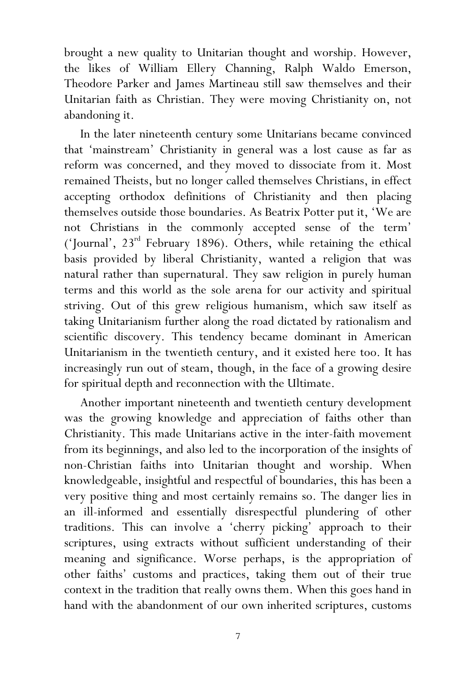brought a new quality to Unitarian thought and worship. However, the likes of William Ellery Channing, Ralph Waldo Emerson, Theodore Parker and James Martineau still saw themselves and their Unitarian faith as Christian. They were moving Christianity on, not abandoning it.

In the later nineteenth century some Unitarians became convinced that 'mainstream' Christianity in general was a lost cause as far as reform was concerned, and they moved to dissociate from it. Most remained Theists, but no longer called themselves Christians, in effect accepting orthodox definitions of Christianity and then placing themselves outside those boundaries. As Beatrix Potter put it, 'We are not Christians in the commonly accepted sense of the term' ('Journal',  $23<sup>rd</sup>$  February 1896). Others, while retaining the ethical basis provided by liberal Christianity, wanted a religion that was natural rather than supernatural. They saw religion in purely human terms and this world as the sole arena for our activity and spiritual striving. Out of this grew religious humanism, which saw itself as taking Unitarianism further along the road dictated by rationalism and scientific discovery. This tendency became dominant in American Unitarianism in the twentieth century, and it existed here too. It has increasingly run out of steam, though, in the face of a growing desire for spiritual depth and reconnection with the Ultimate.

Another important nineteenth and twentieth century development was the growing knowledge and appreciation of faiths other than Christianity. This made Unitarians active in the inter-faith movement from its beginnings, and also led to the incorporation of the insights of non-Christian faiths into Unitarian thought and worship. When knowledgeable, insightful and respectful of boundaries, this has been a very positive thing and most certainly remains so. The danger lies in an ill-informed and essentially disrespectful plundering of other traditions. This can involve a 'cherry picking' approach to their scriptures, using extracts without sufficient understanding of their meaning and significance. Worse perhaps, is the appropriation of other faiths' customs and practices, taking them out of their true context in the tradition that really owns them. When this goes hand in hand with the abandonment of our own inherited scriptures, customs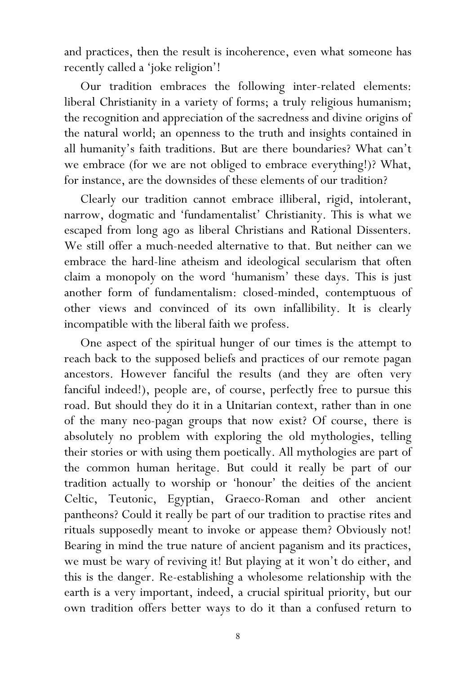and practices, then the result is incoherence, even what someone has recently called a 'joke religion'!

Our tradition embraces the following inter-related elements: liberal Christianity in a variety of forms; a truly religious humanism; the recognition and appreciation of the sacredness and divine origins of the natural world; an openness to the truth and insights contained in all humanity's faith traditions. But are there boundaries? What can't we embrace (for we are not obliged to embrace everything!)? What, for instance, are the downsides of these elements of our tradition?

Clearly our tradition cannot embrace illiberal, rigid, intolerant, narrow, dogmatic and 'fundamentalist' Christianity. This is what we escaped from long ago as liberal Christians and Rational Dissenters. We still offer a much-needed alternative to that. But neither can we embrace the hard-line atheism and ideological secularism that often claim a monopoly on the word 'humanism' these days. This is just another form of fundamentalism: closed-minded, contemptuous of other views and convinced of its own infallibility. It is clearly incompatible with the liberal faith we profess.

One aspect of the spiritual hunger of our times is the attempt to reach back to the supposed beliefs and practices of our remote pagan ancestors. However fanciful the results (and they are often very fanciful indeed!), people are, of course, perfectly free to pursue this road. But should they do it in a Unitarian context, rather than in one of the many neo-pagan groups that now exist? Of course, there is absolutely no problem with exploring the old mythologies, telling their stories or with using them poetically. All mythologies are part of the common human heritage. But could it really be part of our tradition actually to worship or 'honour' the deities of the ancient Celtic, Teutonic, Egyptian, Graeco-Roman and other ancient pantheons? Could it really be part of our tradition to practise rites and rituals supposedly meant to invoke or appease them? Obviously not! Bearing in mind the true nature of ancient paganism and its practices, we must be wary of reviving it! But playing at it won't do either, and this is the danger. Re-establishing a wholesome relationship with the earth is a very important, indeed, a crucial spiritual priority, but our own tradition offers better ways to do it than a confused return to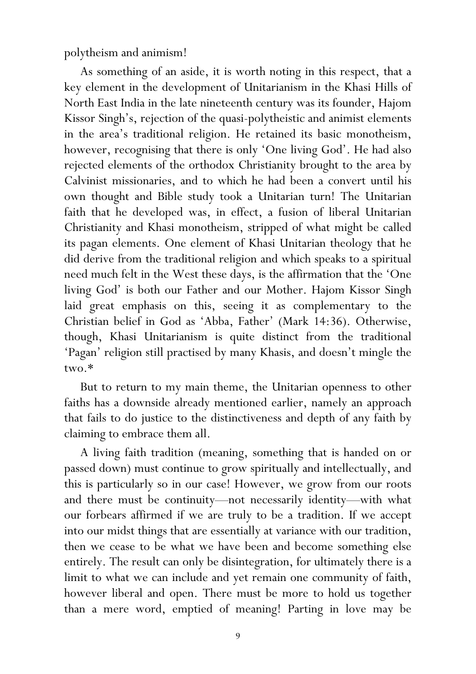polytheism and animism!

As something of an aside, it is worth noting in this respect, that a key element in the development of Unitarianism in the Khasi Hills of North East India in the late nineteenth century was its founder, Hajom Kissor Singh's, rejection of the quasi-polytheistic and animist elements in the area's traditional religion. He retained its basic monotheism, however, recognising that there is only 'One living God'. He had also rejected elements of the orthodox Christianity brought to the area by Calvinist missionaries, and to which he had been a convert until his own thought and Bible study took a Unitarian turn! The Unitarian faith that he developed was, in effect, a fusion of liberal Unitarian Christianity and Khasi monotheism, stripped of what might be called its pagan elements. One element of Khasi Unitarian theology that he did derive from the traditional religion and which speaks to a spiritual need much felt in the West these days, is the affirmation that the 'One living God' is both our Father and our Mother. Hajom Kissor Singh laid great emphasis on this, seeing it as complementary to the Christian belief in God as 'Abba, Father' (Mark 14:36). Otherwise, though, Khasi Unitarianism is quite distinct from the traditional 'Pagan' religion still practised by many Khasis, and doesn't mingle the two.\*

But to return to my main theme, the Unitarian openness to other faiths has a downside already mentioned earlier, namely an approach that fails to do justice to the distinctiveness and depth of any faith by claiming to embrace them all.

A living faith tradition (meaning, something that is handed on or passed down) must continue to grow spiritually and intellectually, and this is particularly so in our case! However, we grow from our roots and there must be continuity—not necessarily identity—with what our forbears affirmed if we are truly to be a tradition. If we accept into our midst things that are essentially at variance with our tradition, then we cease to be what we have been and become something else entirely. The result can only be disintegration, for ultimately there is a limit to what we can include and yet remain one community of faith, however liberal and open. There must be more to hold us together than a mere word, emptied of meaning! Parting in love may be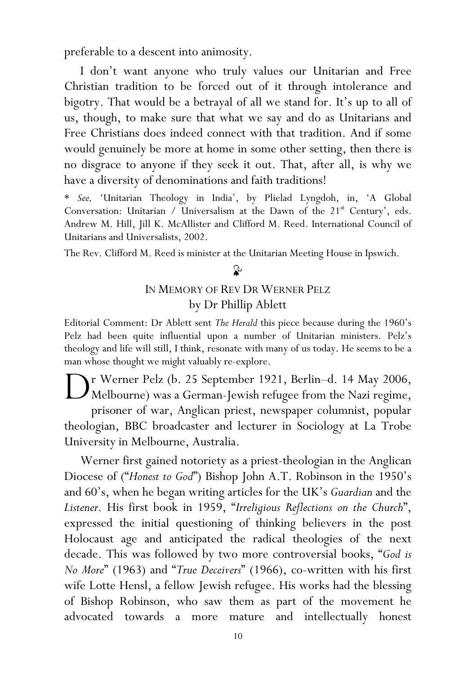preferable to a descent into animosity.

I don't want anyone who truly values our Unitarian and Free Christian tradition to be forced out of it through intolerance and bigotry. That would be a betrayal of all we stand for. It's up to all of us, though, to make sure that what we say and do as Unitarians and Free Christians does indeed connect with that tradition. And if some would genuinely be more at home in some other setting, then there is no disgrace to anyone if they seek it out. That, after all, is why we have a diversity of denominations and faith traditions!

\* See, 'Unitarian Theology in India', by Plielad Lyngdoh, in, 'A Global Conversation: Unitarian / Universalism at the Dawn of the  $21<sup>st</sup>$  Century', eds. Andrew M. Hill, Jill K. McAllister and Clifford M. Reed. International Council of Unitarians and Universalists, 2002.

The Rev. Clifford M. Reed is minister at the Unitarian Meeting House in Ipswich.

## $\mathbf{r}$

### IN MEMORY OF REV DR WERNER PELZ by Dr Phillip Ablett

Editorial Comment: Dr Ablett sent The Herald this piece because during the 1960's Pelz had been quite influential upon a number of Unitarian ministers. Pelz's theology and life will still, I think, resonate with many of us today. He seems to be a man whose thought we might valuably re-explore.

r Werner Pelz (b. 25 September 1921, Berlin–d. 14 May 2006, Melbourne) was a German-Jewish refugee from the Nazi regime, prisoner of war, Anglican priest, newspaper columnist, popular theologian, BBC broadcaster and lecturer in Sociology at La Trobe University in Melbourne, Australia. D

Werner first gained notoriety as a priest-theologian in the Anglican Diocese of ("Honest to God") Bishop John A.T. Robinson in the 1950's and 60's, when he began writing articles for the UK's Guardian and the Listener. His first book in 1959, "Irreligious Reflections on the Church", expressed the initial questioning of thinking believers in the post Holocaust age and anticipated the radical theologies of the next decade. This was followed by two more controversial books, "God is No More" (1963) and "True Deceivers" (1966), co-written with his first wife Lotte Hensl, a fellow Jewish refugee. His works had the blessing of Bishop Robinson, who saw them as part of the movement he advocated towards a more mature and intellectually honest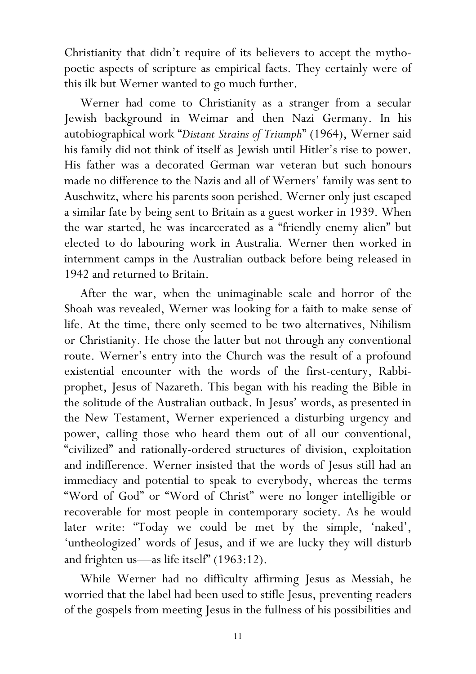Christianity that didn't require of its believers to accept the mythopoetic aspects of scripture as empirical facts. They certainly were of this ilk but Werner wanted to go much further.

Werner had come to Christianity as a stranger from a secular Jewish background in Weimar and then Nazi Germany. In his autobiographical work "Distant Strains of Triumph" (1964), Werner said his family did not think of itself as Jewish until Hitler's rise to power. His father was a decorated German war veteran but such honours made no difference to the Nazis and all of Werners' family was sent to Auschwitz, where his parents soon perished. Werner only just escaped a similar fate by being sent to Britain as a guest worker in 1939. When the war started, he was incarcerated as a "friendly enemy alien" but elected to do labouring work in Australia. Werner then worked in internment camps in the Australian outback before being released in 1942 and returned to Britain.

After the war, when the unimaginable scale and horror of the Shoah was revealed, Werner was looking for a faith to make sense of life. At the time, there only seemed to be two alternatives, Nihilism or Christianity. He chose the latter but not through any conventional route. Werner's entry into the Church was the result of a profound existential encounter with the words of the first-century, Rabbiprophet, Jesus of Nazareth. This began with his reading the Bible in the solitude of the Australian outback. In Jesus' words, as presented in the New Testament, Werner experienced a disturbing urgency and power, calling those who heard them out of all our conventional, "civilized" and rationally-ordered structures of division, exploitation and indifference. Werner insisted that the words of Jesus still had an immediacy and potential to speak to everybody, whereas the terms "Word of God" or "Word of Christ" were no longer intelligible or recoverable for most people in contemporary society. As he would later write: "Today we could be met by the simple, 'naked', 'untheologized' words of Jesus, and if we are lucky they will disturb and frighten us—as life itself" (1963:12).

While Werner had no difficulty affirming Jesus as Messiah, he worried that the label had been used to stifle Jesus, preventing readers of the gospels from meeting Jesus in the fullness of his possibilities and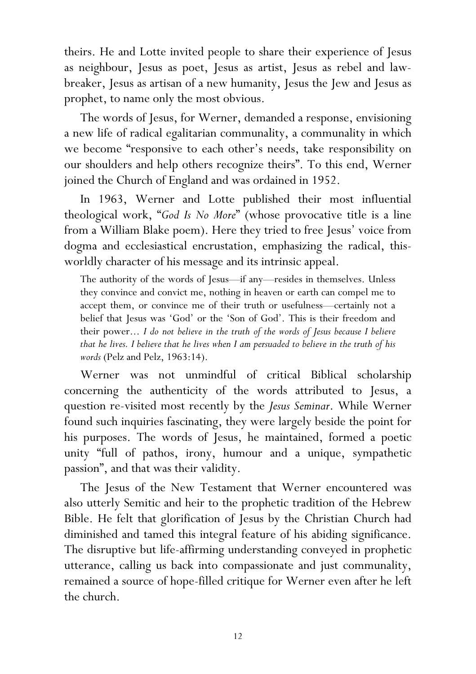theirs. He and Lotte invited people to share their experience of Jesus as neighbour, Jesus as poet, Jesus as artist, Jesus as rebel and lawbreaker, Jesus as artisan of a new humanity, Jesus the Jew and Jesus as prophet, to name only the most obvious.

The words of Jesus, for Werner, demanded a response, envisioning a new life of radical egalitarian communality, a communality in which we become "responsive to each other's needs, take responsibility on our shoulders and help others recognize theirs". To this end, Werner joined the Church of England and was ordained in 1952.

In 1963, Werner and Lotte published their most influential theological work, "God Is No More" (whose provocative title is a line from a William Blake poem). Here they tried to free Jesus' voice from dogma and ecclesiastical encrustation, emphasizing the radical, thisworldly character of his message and its intrinsic appeal.

The authority of the words of Jesus—if any—resides in themselves. Unless they convince and convict me, nothing in heaven or earth can compel me to accept them, or convince me of their truth or usefulness—certainly not a belief that Jesus was 'God' or the 'Son of God'. This is their freedom and their power... I do not believe in the truth of the words of Jesus because I believe that he lives. I believe that he lives when I am persuaded to believe in the truth of his words (Pelz and Pelz, 1963:14).

Werner was not unmindful of critical Biblical scholarship concerning the authenticity of the words attributed to Jesus, a question re-visited most recently by the Jesus Seminar. While Werner found such inquiries fascinating, they were largely beside the point for his purposes. The words of Jesus, he maintained, formed a poetic unity "full of pathos, irony, humour and a unique, sympathetic passion", and that was their validity.

The Jesus of the New Testament that Werner encountered was also utterly Semitic and heir to the prophetic tradition of the Hebrew Bible. He felt that glorification of Jesus by the Christian Church had diminished and tamed this integral feature of his abiding significance. The disruptive but life-affirming understanding conveyed in prophetic utterance, calling us back into compassionate and just communality, remained a source of hope-filled critique for Werner even after he left the church.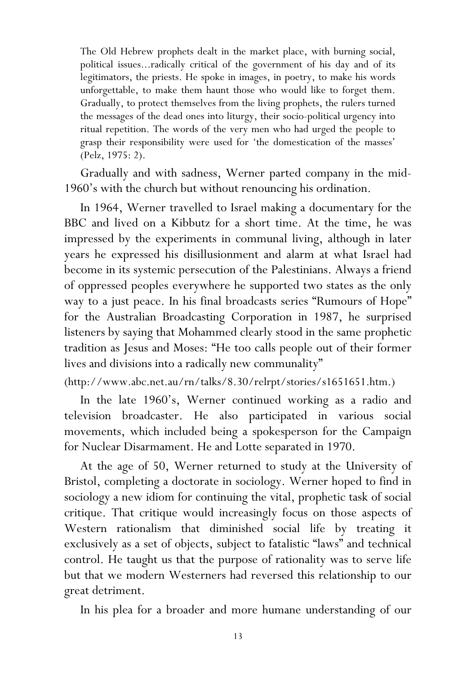The Old Hebrew prophets dealt in the market place, with burning social, political issues...radically critical of the government of his day and of its legitimators, the priests. He spoke in images, in poetry, to make his words unforgettable, to make them haunt those who would like to forget them. Gradually, to protect themselves from the living prophets, the rulers turned the messages of the dead ones into liturgy, their socio-political urgency into ritual repetition. The words of the very men who had urged the people to grasp their responsibility were used for 'the domestication of the masses' (Pelz, 1975: 2).

Gradually and with sadness, Werner parted company in the mid-1960's with the church but without renouncing his ordination.

In 1964, Werner travelled to Israel making a documentary for the BBC and lived on a Kibbutz for a short time. At the time, he was impressed by the experiments in communal living, although in later years he expressed his disillusionment and alarm at what Israel had become in its systemic persecution of the Palestinians. Always a friend of oppressed peoples everywhere he supported two states as the only way to a just peace. In his final broadcasts series "Rumours of Hope" for the Australian Broadcasting Corporation in 1987, he surprised listeners by saying that Mohammed clearly stood in the same prophetic tradition as Jesus and Moses: "He too calls people out of their former lives and divisions into a radically new communality"

(http://www.abc.net.au/rn/talks/8.30/relrpt/stories/s1651651.htm.)

In the late 1960's, Werner continued working as a radio and television broadcaster. He also participated in various social movements, which included being a spokesperson for the Campaign for Nuclear Disarmament. He and Lotte separated in 1970.

At the age of 50, Werner returned to study at the University of Bristol, completing a doctorate in sociology. Werner hoped to find in sociology a new idiom for continuing the vital, prophetic task of social critique. That critique would increasingly focus on those aspects of Western rationalism that diminished social life by treating it exclusively as a set of objects, subject to fatalistic "laws" and technical control. He taught us that the purpose of rationality was to serve life but that we modern Westerners had reversed this relationship to our great detriment.

In his plea for a broader and more humane understanding of our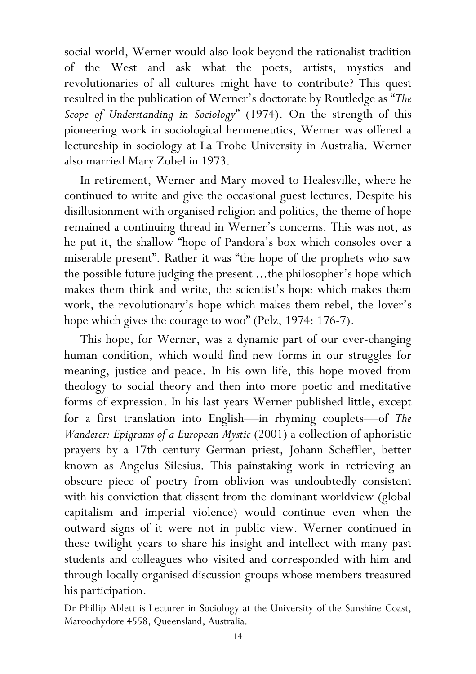social world, Werner would also look beyond the rationalist tradition of the West and ask what the poets, artists, mystics and revolutionaries of all cultures might have to contribute? This quest resulted in the publication of Werner's doctorate by Routledge as "The Scope of Understanding in Sociology" (1974). On the strength of this pioneering work in sociological hermeneutics, Werner was offered a lectureship in sociology at La Trobe University in Australia. Werner also married Mary Zobel in 1973.

In retirement, Werner and Mary moved to Healesville, where he continued to write and give the occasional guest lectures. Despite his disillusionment with organised religion and politics, the theme of hope remained a continuing thread in Werner's concerns. This was not, as he put it, the shallow "hope of Pandora's box which consoles over a miserable present". Rather it was "the hope of the prophets who saw the possible future judging the present ...the philosopher's hope which makes them think and write, the scientist's hope which makes them work, the revolutionary's hope which makes them rebel, the lover's hope which gives the courage to woo" (Pelz, 1974: 176-7).

This hope, for Werner, was a dynamic part of our ever-changing human condition, which would find new forms in our struggles for meaning, justice and peace. In his own life, this hope moved from theology to social theory and then into more poetic and meditative forms of expression. In his last years Werner published little, except for a first translation into English—in rhyming couplets—of The Wanderer: Epigrams of a European Mystic (2001) a collection of aphoristic prayers by a 17th century German priest, Johann Scheffler, better known as Angelus Silesius. This painstaking work in retrieving an obscure piece of poetry from oblivion was undoubtedly consistent with his conviction that dissent from the dominant worldview (global capitalism and imperial violence) would continue even when the outward signs of it were not in public view. Werner continued in these twilight years to share his insight and intellect with many past students and colleagues who visited and corresponded with him and through locally organised discussion groups whose members treasured his participation.

Dr Phillip Ablett is Lecturer in Sociology at the University of the Sunshine Coast, Maroochydore 4558, Queensland, Australia.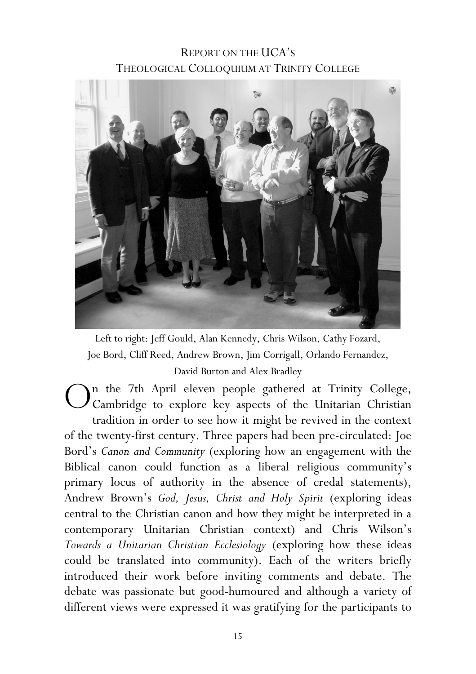## REPORT ON THE UCA'S THEOLOGICAL COLLOQUIUM AT TRINITY COLLEGE



Left to right: Jeff Gould, Alan Kennedy, Chris Wilson, Cathy Fozard, Joe Bord, Cliff Reed, Andrew Brown, Jim Corrigall, Orlando Fernandez, David Burton and Alex Bradley

n the 7th April eleven people gathered at Trinity College, Cambridge to explore key aspects of the Unitarian Christian tradition in order to see how it might be revived in the context of the twenty-first century. Three papers had been pre-circulated: Joe Bord's Canon and Community (exploring how an engagement with the Biblical canon could function as a liberal religious community's primary locus of authority in the absence of credal statements), Andrew Brown's God, Jesus, Christ and Holy Spirit (exploring ideas central to the Christian canon and how they might be interpreted in a contemporary Unitarian Christian context) and Chris Wilson's Towards a Unitarian Christian Ecclesiology (exploring how these ideas could be translated into community). Each of the writers briefly introduced their work before inviting comments and debate. The debate was passionate but good-humoured and although a variety of different views were expressed it was gratifying for the participants to O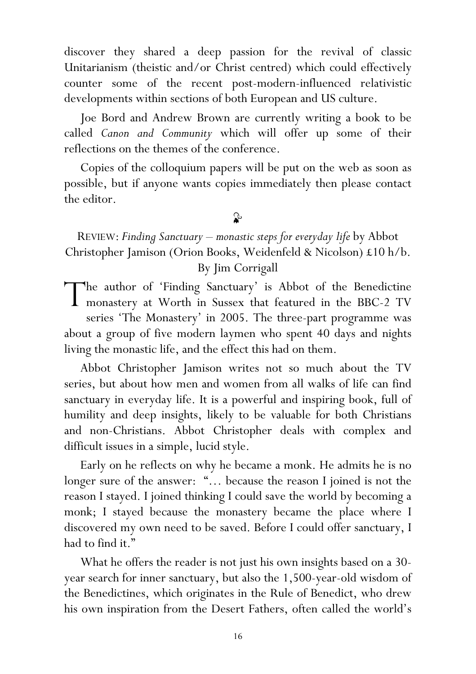discover they shared a deep passion for the revival of classic Unitarianism (theistic and/or Christ centred) which could effectively counter some of the recent post-modern-influenced relativistic developments within sections of both European and US culture.

 Joe Bord and Andrew Brown are currently writing a book to be called Canon and Community which will offer up some of their reflections on the themes of the conference.

Copies of the colloquium papers will be put on the web as soon as possible, but if anyone wants copies immediately then please contact the editor.

#### ॢ

REVIEW: Finding Sanctuary – monastic steps for everyday life by Abbot Christopher Jamison (Orion Books, Weidenfeld & Nicolson) £10 h/b. By Jim Corrigall

he author of 'Finding Sanctuary' is Abbot of the Benedictine The author of 'Finding Sanctuary' is Abbot of the Benedictine<br>monastery at Worth in Sussex that featured in the BBC-2 TV series 'The Monastery' in 2005. The three-part programme was about a group of five modern laymen who spent 40 days and nights living the monastic life, and the effect this had on them.

Abbot Christopher Jamison writes not so much about the TV series, but about how men and women from all walks of life can find sanctuary in everyday life. It is a powerful and inspiring book, full of humility and deep insights, likely to be valuable for both Christians and non-Christians. Abbot Christopher deals with complex and difficult issues in a simple, lucid style.

Early on he reflects on why he became a monk. He admits he is no longer sure of the answer: "… because the reason I joined is not the reason I stayed. I joined thinking I could save the world by becoming a monk; I stayed because the monastery became the place where I discovered my own need to be saved. Before I could offer sanctuary, I had to find it."

 What he offers the reader is not just his own insights based on a 30 year search for inner sanctuary, but also the 1,500-year-old wisdom of the Benedictines, which originates in the Rule of Benedict, who drew his own inspiration from the Desert Fathers, often called the world's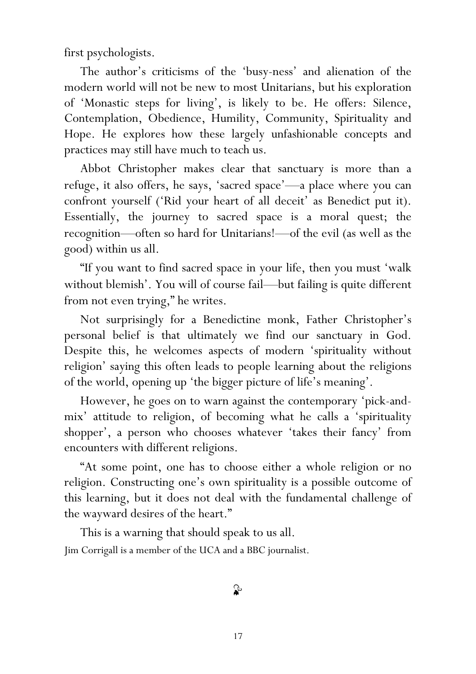first psychologists.

The author's criticisms of the 'busy-ness' and alienation of the modern world will not be new to most Unitarians, but his exploration of 'Monastic steps for living', is likely to be. He offers: Silence, Contemplation, Obedience, Humility, Community, Spirituality and Hope. He explores how these largely unfashionable concepts and practices may still have much to teach us.

Abbot Christopher makes clear that sanctuary is more than a refuge, it also offers, he says, 'sacred space'—a place where you can confront yourself ('Rid your heart of all deceit' as Benedict put it). Essentially, the journey to sacred space is a moral quest; the recognition—often so hard for Unitarians!—of the evil (as well as the good) within us all.

"If you want to find sacred space in your life, then you must 'walk without blemish'. You will of course fail—but failing is quite different from not even trying," he writes.

Not surprisingly for a Benedictine monk, Father Christopher's personal belief is that ultimately we find our sanctuary in God. Despite this, he welcomes aspects of modern 'spirituality without religion' saying this often leads to people learning about the religions of the world, opening up 'the bigger picture of life's meaning'.

However, he goes on to warn against the contemporary 'pick-andmix' attitude to religion, of becoming what he calls a 'spirituality shopper', a person who chooses whatever 'takes their fancy' from encounters with different religions.

"At some point, one has to choose either a whole religion or no religion. Constructing one's own spirituality is a possible outcome of this learning, but it does not deal with the fundamental challenge of the wayward desires of the heart."

This is a warning that should speak to us all. Jim Corrigall is a member of the UCA and a BBC journalist.

ନ୍ତ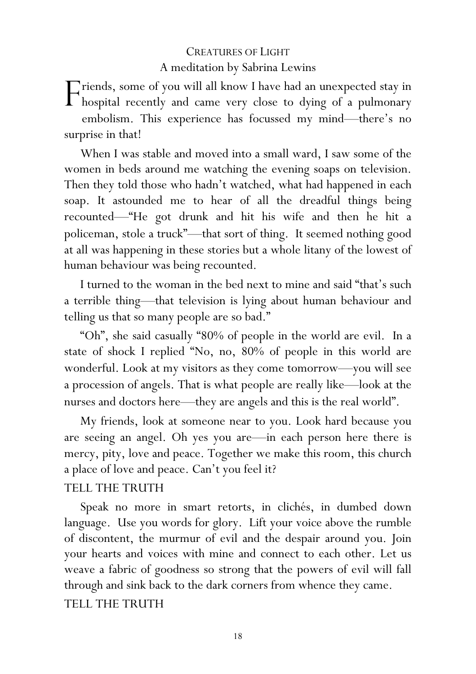## CREATURES OF LIGHT A meditation by Sabrina Lewins

riends, some of you will all know I have had an unexpected stay in Friends, some of you will all know I have had an unexpected stay in hospital recently and came very close to dying of a pulmonary embolism. This experience has focussed my mind—there's no surprise in that!

When I was stable and moved into a small ward, I saw some of the women in beds around me watching the evening soaps on television. Then they told those who hadn't watched, what had happened in each soap. It astounded me to hear of all the dreadful things being recounted—"He got drunk and hit his wife and then he hit a policeman, stole a truck"—that sort of thing. It seemed nothing good at all was happening in these stories but a whole litany of the lowest of human behaviour was being recounted.

I turned to the woman in the bed next to mine and said "that's such a terrible thing—that television is lying about human behaviour and telling us that so many people are so bad."

"Oh", she said casually "80% of people in the world are evil. In a state of shock I replied "No, no, 80% of people in this world are wonderful. Look at my visitors as they come tomorrow—you will see a procession of angels. That is what people are really like—look at the nurses and doctors here—they are angels and this is the real world".

My friends, look at someone near to you. Look hard because you are seeing an angel. Oh yes you are—in each person here there is mercy, pity, love and peace. Together we make this room, this church a place of love and peace. Can't you feel it?

#### TELL THE TRUTH

Speak no more in smart retorts, in clichés, in dumbed down language. Use you words for glory. Lift your voice above the rumble of discontent, the murmur of evil and the despair around you. Join your hearts and voices with mine and connect to each other. Let us weave a fabric of goodness so strong that the powers of evil will fall through and sink back to the dark corners from whence they came. TELL THE TRUTH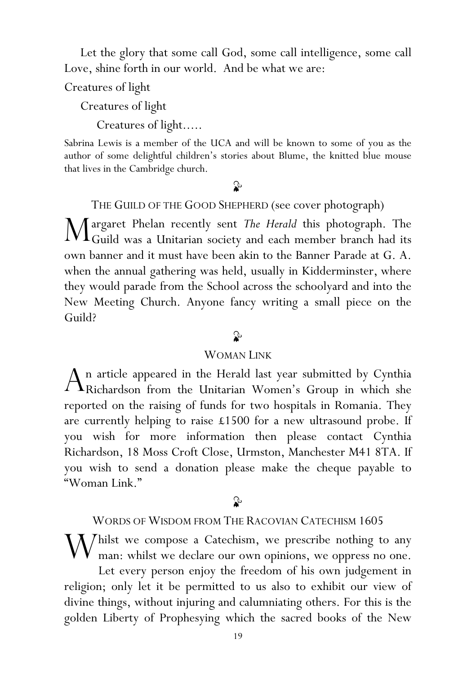Let the glory that some call God, some call intelligence, some call Love, shine forth in our world. And be what we are:

Creatures of light

Creatures of light

Creatures of light.....

Sabrina Lewis is a member of the UCA and will be known to some of you as the author of some delightful children's stories about Blume, the knitted blue mouse that lives in the Cambridge church.

## $\mathbf{r}$

THE GUILD OF THE GOOD SHEPHERD (see cover photograph)

argaret Phelan recently sent The Herald this photograph. The Margaret Phelan recently sent The Herald this photograph. The Guild was a Unitarian society and each member branch had its own banner and it must have been akin to the Banner Parade at G. A. when the annual gathering was held, usually in Kidderminster, where they would parade from the School across the schoolyard and into the New Meeting Church. Anyone fancy writing a small piece on the Guild?

## $\mathbf{r}$

#### WOMAN LINK

n article appeared in the Herald last year submitted by Cynthia  $A$ n article appeared in the Herald last year submitted by Cynthia Richardson from the Unitarian Women's Group in which she reported on the raising of funds for two hospitals in Romania. They are currently helping to raise £1500 for a new ultrasound probe. If you wish for more information then please contact Cynthia Richardson, 18 Moss Croft Close, Urmston, Manchester M41 8TA. If you wish to send a donation please make the cheque payable to "Woman Link."

## $\mathbf{r}$

WORDS OF WISDOM FROM THE RACOVIAN CATECHISM 1605

 $\rm W$ hilst we compose a Catechism, we prescribe nothing to any  $\rm W$  man: whilst we declare our own opinions, we oppress no one. man: whilst we declare our own opinions, we oppress no one.

Let every person enjoy the freedom of his own judgement in religion; only let it be permitted to us also to exhibit our view of divine things, without injuring and calumniating others. For this is the golden Liberty of Prophesying which the sacred books of the New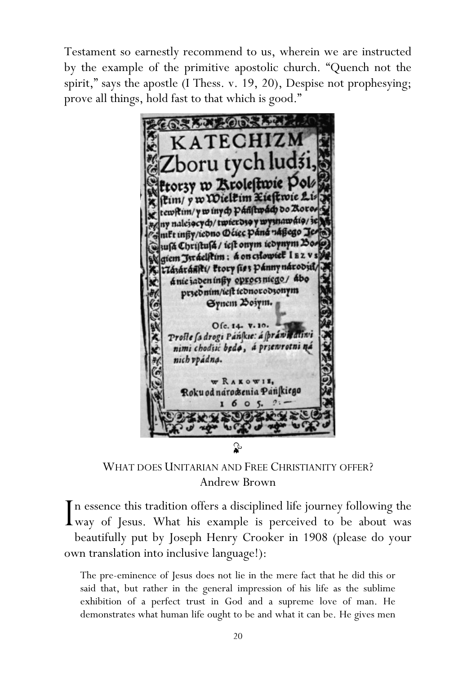Testament so earnestly recommend to us, wherein we are instructed by the example of the primitive apostolic church. "Quench not the spirit," says the apostle (I Thess. v. 19, 20), Despise not prophesying; prove all things, hold fast to that which is good."

KATECHIZM boru tych ludśi, torzy w Krolestwie Pol ftim/ y w Wielkim Kieftwie Lis tewftin/ywinych pánftwach do Zioros ny nalejących/twierdsą y wysnawatą/3 anift infly/iedno Deiec pana nafego Je Susa Christusa / iest onym iedynym Bo. Naiem Jstáelftin: a on cslowiet IEZ E Liazaranti/ Procy fiss panny narodiil/ ánie jadeníngy oproczniego/ ábo przednim/ieft iconorodzonym Synem Bosym. Ofc. 14. V. 10. Proste sa drogi Panfkie: a fprawn atiwi nimi chodsic beda, a prsenrotni na nich vpádna. WRAKOWIE, Roku od národsenia Pán kiego  $\epsilon$  $\mathbf{r}$ 

WHAT DOES UNITARIAN AND FREE CHRISTIANITY OFFER? Andrew Brown

In essence this tradition offers a disciplined life journey following the way of Jesus. What his example is perceived to be about was way of Jesus. What his example is perceived to be about was beautifully put by Joseph Henry Crooker in 1908 (please do your own translation into inclusive language!):

The pre-eminence of Jesus does not lie in the mere fact that he did this or said that, but rather in the general impression of his life as the sublime exhibition of a perfect trust in God and a supreme love of man. He demonstrates what human life ought to be and what it can be. He gives men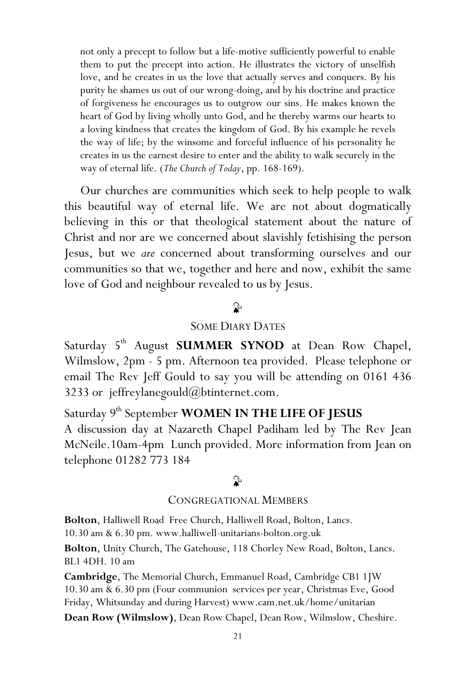not only a precept to follow but a life-motive sufficiently powerful to enable them to put the precept into action. He illustrates the victory of unselfish love, and he creates in us the love that actually serves and conquers. By his purity he shames us out of our wrong-doing, and by his doctrine and practice of forgiveness he encourages us to outgrow our sins. He makes known the heart of God by living wholly unto God, and he thereby warms our hearts to a loving kindness that creates the kingdom of God. By his example he revels the way of life; by the winsome and forceful influence of his personality he creates in us the earnest desire to enter and the ability to walk securely in the way of eternal life. (The Church of Today, pp. 168-169).

Our churches are communities which seek to help people to walk this beautiful way of eternal life. We are not about dogmatically believing in this or that theological statement about the nature of Christ and nor are we concerned about slavishly fetishising the person Jesus, but we are concerned about transforming ourselves and our communities so that we, together and here and now, exhibit the same love of God and neighbour revealed to us by Jesus.

## $\mathbf{r}$

#### SOME DIARY DATES

Saturday 5<sup>th</sup> August **SUMMER SYNOD** at Dean Row Chapel, Wilmslow, 2pm - 5 pm. Afternoon tea provided. Please telephone or email The Rev Jeff Gould to say you will be attending on 0161 436 3233 or jeffreylanegould $@$ btinternet.com.

Saturday 9<sup>th</sup> September WOMEN IN THE LIFE OF JESUS A discussion day at Nazareth Chapel Padiham led by The Rev Jean McNeile.10am-4pm Lunch provided. More information from Jean on telephone 01282 773 184

## $\mathbf{r}$

#### CONGREGATIONAL MEMBERS

Bolton, Halliwell Road Free Church, Halliwell Road, Bolton, Lancs.

10.30 am & 6.30 pm. www.halliwell-unitarians-bolton.org.uk

Bolton, Unity Church, The Gatehouse, 118 Chorley New Road, Bolton, Lancs. BL1 4DH. 10 am

Cambridge, The Memorial Church, Emmanuel Road, Cambridge CB1 1JW 10.30 am & 6.30 pm (Four communion services per year, Christmas Eve, Good Friday, Whitsunday and during Harvest) www.cam.net.uk/home/unitarian

Dean Row (Wilmslow), Dean Row Chapel, Dean Row, Wilmslow, Cheshire.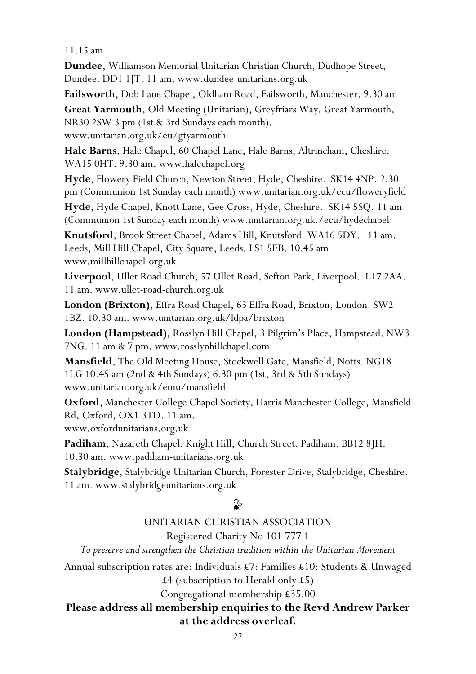#### 11.15 am

Dundee, Williamson Memorial Unitarian Christian Church, Dudhope Street, Dundee. DD1 1JT. 11 am. www.dundee-unitarians.org.uk

Failsworth, Dob Lane Chapel, Oldham Road, Failsworth, Manchester. 9.30 am

Great Yarmouth, Old Meeting (Unitarian), Greyfriars Way, Great Yarmouth, NR30 2SW 3 pm (1st & 3rd Sundays each month). www.unitarian.org.uk/eu/gtyarmouth

Hale Barns, Hale Chapel, 60 Chapel Lane, Hale Barns, Altrincham, Cheshire. WA15 0HT. 9.30 am. www.halechapel.org

Hyde, Flowery Field Church, Newton Street, Hyde, Cheshire. SK14 4NP. 2.30 pm (Communion 1st Sunday each month) www.unitarian.org.uk/ecu/floweryfield

Hyde, Hyde Chapel, Knott Lane, Gee Cross, Hyde, Cheshire. SK14 5SQ. 11 am (Communion 1st Sunday each month) www.unitarian.org.uk./ecu/hydechapel

Knutsford, Brook Street Chapel, Adams Hill, Knutsford. WA16 5DY. 11 am. Leeds, Mill Hill Chapel, City Square, Leeds. LS1 5EB. 10.45 am www.millhillchapel.org.uk

Liverpool, Ullet Road Church, 57 Ullet Road, Sefton Park, Liverpool. L17 2AA. 11 am. www.ullet-road-church.org.uk

London (Brixton), Effra Road Chapel, 63 Effra Road, Brixton, London. SW2 1BZ. 10.30 am. www.unitarian.org.uk/ldpa/brixton

London (Hampstead), Rosslyn Hill Chapel, 3 Pilgrim's Place, Hampstead. NW3 7NG. 11 am & 7 pm. www.rosslynhillchapel.com

Mansfield, The Old Meeting House, Stockwell Gate, Mansfield, Notts. NG18 1LG 10.45 am (2nd & 4th Sundays) 6.30 pm (1st, 3rd & 5th Sundays) www.unitarian.org.uk/emu/mansfield

Oxford, Manchester College Chapel Society, Harris Manchester College, Mansfield Rd, Oxford, OX1 3TD. 11 am. www.oxfordunitarians.org.uk

Padiham, Nazareth Chapel, Knight Hill, Church Street, Padiham. BB12 8JH. 10.30 am. www.padiham-unitarians.org.uk

Stalybridge, Stalybridge Unitarian Church, Forester Drive, Stalybridge, Cheshire. 11 am. www.stalybridgeunitarians.org.uk

#### ⊉

#### UNITARIAN CHRISTIAN ASSOCIATION Registered Charity No 101 777 1

To preserve and strengthen the Christian tradition within the Unitarian Movement

Annual subscription rates are: Individuals £7: Families £10: Students & Unwaged £4 (subscription to Herald only £5)

Congregational membership £35.00

#### Please address all membership enquiries to the Revd Andrew Parker at the address overleaf.